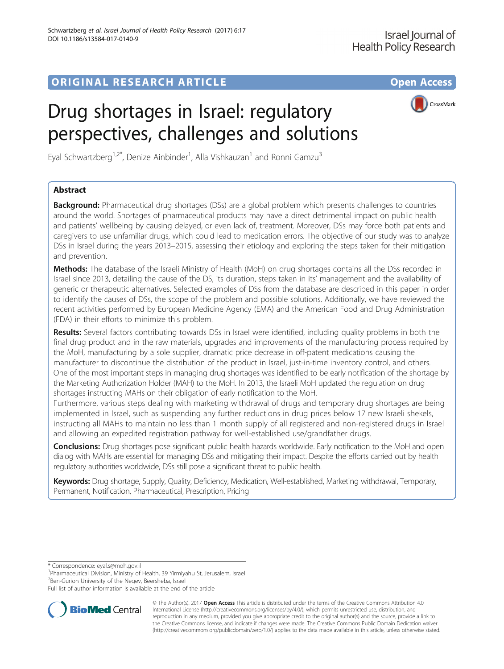ORIGINAL RESEARCH ARTICLE **External of the Contract Open Access** 

CrossMark

# Drug shortages in Israel: regulatory perspectives, challenges and solutions

Eyal Schwartzberg<sup>1,2\*</sup>, Denize Ainbinder<sup>1</sup>, Alla Vishkauzan<sup>1</sup> and Ronni Gamzu<sup>3</sup>

# Abstract

**Background:** Pharmaceutical drug shortages (DSs) are a global problem which presents challenges to countries around the world. Shortages of pharmaceutical products may have a direct detrimental impact on public health and patients' wellbeing by causing delayed, or even lack of, treatment. Moreover, DSs may force both patients and caregivers to use unfamiliar drugs, which could lead to medication errors. The objective of our study was to analyze DSs in Israel during the years 2013–2015, assessing their etiology and exploring the steps taken for their mitigation and prevention.

Methods: The database of the Israeli Ministry of Health (MoH) on drug shortages contains all the DSs recorded in Israel since 2013, detailing the cause of the DS, its duration, steps taken in its' management and the availability of generic or therapeutic alternatives. Selected examples of DSs from the database are described in this paper in order to identify the causes of DSs, the scope of the problem and possible solutions. Additionally, we have reviewed the recent activities performed by European Medicine Agency (EMA) and the American Food and Drug Administration (FDA) in their efforts to minimize this problem.

Results: Several factors contributing towards DSs in Israel were identified, including quality problems in both the final drug product and in the raw materials, upgrades and improvements of the manufacturing process required by the MoH, manufacturing by a sole supplier, dramatic price decrease in off-patent medications causing the manufacturer to discontinue the distribution of the product in Israel, just-in-time inventory control, and others. One of the most important steps in managing drug shortages was identified to be early notification of the shortage by the Marketing Authorization Holder (MAH) to the MoH. In 2013, the Israeli MoH updated the regulation on drug shortages instructing MAHs on their obligation of early notification to the MoH.

Furthermore, various steps dealing with marketing withdrawal of drugs and temporary drug shortages are being implemented in Israel, such as suspending any further reductions in drug prices below 17 new Israeli shekels, instructing all MAHs to maintain no less than 1 month supply of all registered and non-registered drugs in Israel and allowing an expedited registration pathway for well-established use/grandfather drugs.

**Conclusions:** Drug shortages pose significant public health hazards worldwide. Early notification to the MoH and open dialog with MAHs are essential for managing DSs and mitigating their impact. Despite the efforts carried out by health regulatory authorities worldwide, DSs still pose a significant threat to public health.

Keywords: Drug shortage, Supply, Quality, Deficiency, Medication, Well-established, Marketing withdrawal, Temporary, Permanent, Notification, Pharmaceutical, Prescription, Pricing

\* Correspondence: [eyal.s@moh.gov.il](mailto:eyal.s@moh.gov.il) <sup>1</sup>

<sup>1</sup>Pharmaceutical Division, Ministry of Health, 39 Yirmiyahu St, Jerusalem, Israel <sup>2</sup>Ben-Gurion University of the Negev, Beersheba, Israel

Full list of author information is available at the end of the article



© The Author(s). 2017 **Open Access** This article is distributed under the terms of the Creative Commons Attribution 4.0 International License [\(http://creativecommons.org/licenses/by/4.0/](http://creativecommons.org/licenses/by/4.0/)), which permits unrestricted use, distribution, and reproduction in any medium, provided you give appropriate credit to the original author(s) and the source, provide a link to the Creative Commons license, and indicate if changes were made. The Creative Commons Public Domain Dedication waiver [\(http://creativecommons.org/publicdomain/zero/1.0/](http://creativecommons.org/publicdomain/zero/1.0/)) applies to the data made available in this article, unless otherwise stated.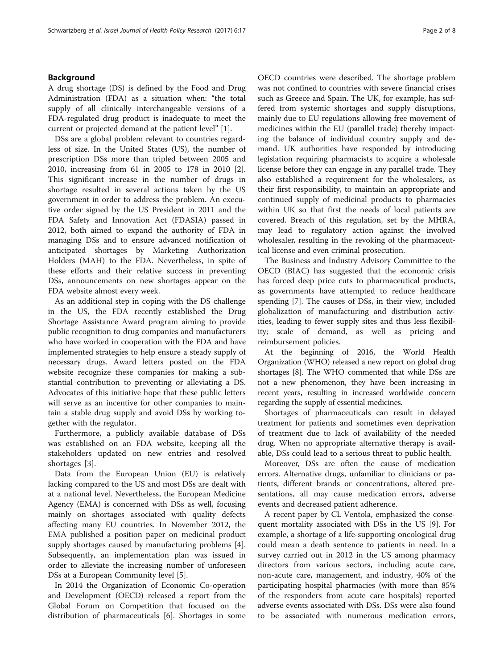## Background

A drug shortage (DS) is defined by the Food and Drug Administration (FDA) as a situation when: "the total supply of all clinically interchangeable versions of a FDA-regulated drug product is inadequate to meet the current or projected demand at the patient level" [\[1\]](#page-7-0).

DSs are a global problem relevant to countries regardless of size. In the United States (US), the number of prescription DSs more than tripled between 2005 and 2010, increasing from 61 in 2005 to 178 in 2010 [\[2](#page-7-0)]. This significant increase in the number of drugs in shortage resulted in several actions taken by the US government in order to address the problem. An executive order signed by the US President in 2011 and the FDA Safety and Innovation Act (FDASIA) passed in 2012, both aimed to expand the authority of FDA in managing DSs and to ensure advanced notification of anticipated shortages by Marketing Authorization Holders (MAH) to the FDA. Nevertheless, in spite of these efforts and their relative success in preventing DSs, announcements on new shortages appear on the FDA website almost every week.

As an additional step in coping with the DS challenge in the US, the FDA recently established the Drug Shortage Assistance Award program aiming to provide public recognition to drug companies and manufacturers who have worked in cooperation with the FDA and have implemented strategies to help ensure a steady supply of necessary drugs. Award letters posted on the FDA website recognize these companies for making a substantial contribution to preventing or alleviating a DS. Advocates of this initiative hope that these public letters will serve as an incentive for other companies to maintain a stable drug supply and avoid DSs by working together with the regulator.

Furthermore, a publicly available database of DSs was established on an FDA website, keeping all the stakeholders updated on new entries and resolved shortages [[3](#page-7-0)].

Data from the European Union (EU) is relatively lacking compared to the US and most DSs are dealt with at a national level. Nevertheless, the European Medicine Agency (EMA) is concerned with DSs as well, focusing mainly on shortages associated with quality defects affecting many EU countries. In November 2012, the EMA published a position paper on medicinal product supply shortages caused by manufacturing problems [\[4](#page-7-0)]. Subsequently, an implementation plan was issued in order to alleviate the increasing number of unforeseen DSs at a European Community level [[5\]](#page-7-0).

In 2014 the Organization of Economic Co-operation and Development (OECD) released a report from the Global Forum on Competition that focused on the distribution of pharmaceuticals [\[6](#page-7-0)]. Shortages in some OECD countries were described. The shortage problem was not confined to countries with severe financial crises such as Greece and Spain. The UK, for example, has suffered from systemic shortages and supply disruptions, mainly due to EU regulations allowing free movement of medicines within the EU (parallel trade) thereby impacting the balance of individual country supply and demand. UK authorities have responded by introducing legislation requiring pharmacists to acquire a wholesale license before they can engage in any parallel trade. They also established a requirement for the wholesalers, as their first responsibility, to maintain an appropriate and continued supply of medicinal products to pharmacies within UK so that first the needs of local patients are covered. Breach of this regulation, set by the MHRA, may lead to regulatory action against the involved wholesaler, resulting in the revoking of the pharmaceutical license and even criminal prosecution.

The Business and Industry Advisory Committee to the OECD (BIAC) has suggested that the economic crisis has forced deep price cuts to pharmaceutical products, as governments have attempted to reduce healthcare spending [\[7](#page-7-0)]. The causes of DSs, in their view, included globalization of manufacturing and distribution activities, leading to fewer supply sites and thus less flexibility; scale of demand, as well as pricing and reimbursement policies.

At the beginning of 2016, the World Health Organization (WHO) released a new report on global drug shortages [[8\]](#page-7-0). The WHO commented that while DSs are not a new phenomenon, they have been increasing in recent years, resulting in increased worldwide concern regarding the supply of essential medicines.

Shortages of pharmaceuticals can result in delayed treatment for patients and sometimes even deprivation of treatment due to lack of availability of the needed drug. When no appropriate alternative therapy is available, DSs could lead to a serious threat to public health.

Moreover, DSs are often the cause of medication errors. Alternative drugs, unfamiliar to clinicians or patients, different brands or concentrations, altered presentations, all may cause medication errors, adverse events and decreased patient adherence.

A recent paper by CL Ventola, emphasized the consequent mortality associated with DSs in the US [\[9](#page-7-0)]. For example, a shortage of a life-supporting oncological drug could mean a death sentence to patients in need. In a survey carried out in 2012 in the US among pharmacy directors from various sectors, including acute care, non-acute care, management, and industry, 40% of the participating hospital pharmacies (with more than 85% of the responders from acute care hospitals) reported adverse events associated with DSs. DSs were also found to be associated with numerous medication errors,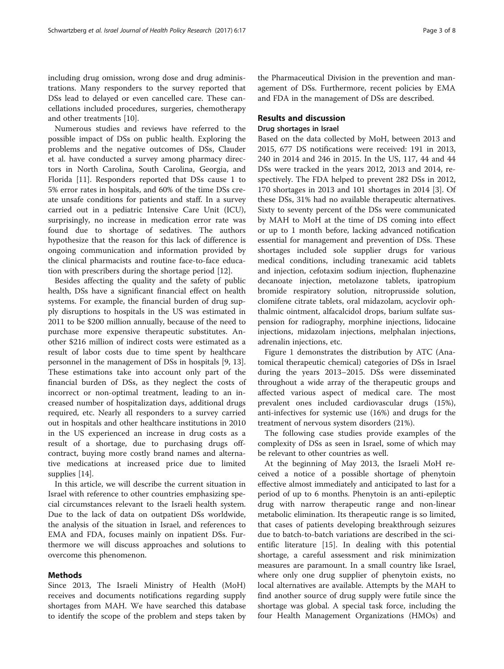including drug omission, wrong dose and drug administrations. Many responders to the survey reported that DSs lead to delayed or even cancelled care. These cancellations included procedures, surgeries, chemotherapy and other treatments [\[10](#page-7-0)].

Numerous studies and reviews have referred to the possible impact of DSs on public health. Exploring the problems and the negative outcomes of DSs, Clauder et al. have conducted a survey among pharmacy directors in North Carolina, South Carolina, Georgia, and Florida [\[11\]](#page-7-0). Responders reported that DSs cause 1 to 5% error rates in hospitals, and 60% of the time DSs create unsafe conditions for patients and staff. In a survey carried out in a pediatric Intensive Care Unit (ICU), surprisingly, no increase in medication error rate was found due to shortage of sedatives. The authors hypothesize that the reason for this lack of difference is ongoing communication and information provided by the clinical pharmacists and routine face-to-face education with prescribers during the shortage period [[12\]](#page-7-0).

Besides affecting the quality and the safety of public health, DSs have a significant financial effect on health systems. For example, the financial burden of drug supply disruptions to hospitals in the US was estimated in 2011 to be \$200 million annually, because of the need to purchase more expensive therapeutic substitutes. Another \$216 million of indirect costs were estimated as a result of labor costs due to time spent by healthcare personnel in the management of DSs in hospitals [\[9](#page-7-0), [13](#page-7-0)]. These estimations take into account only part of the financial burden of DSs, as they neglect the costs of incorrect or non-optimal treatment, leading to an increased number of hospitalization days, additional drugs required, etc. Nearly all responders to a survey carried out in hospitals and other healthcare institutions in 2010 in the US experienced an increase in drug costs as a result of a shortage, due to purchasing drugs offcontract, buying more costly brand names and alternative medications at increased price due to limited supplies [[14](#page-7-0)].

In this article, we will describe the current situation in Israel with reference to other countries emphasizing special circumstances relevant to the Israeli health system. Due to the lack of data on outpatient DSs worldwide, the analysis of the situation in Israel, and references to EMA and FDA, focuses mainly on inpatient DSs. Furthermore we will discuss approaches and solutions to overcome this phenomenon.

## Methods

Since 2013, The Israeli Ministry of Health (MoH) receives and documents notifications regarding supply shortages from MAH. We have searched this database to identify the scope of the problem and steps taken by

the Pharmaceutical Division in the prevention and management of DSs. Furthermore, recent policies by EMA and FDA in the management of DSs are described.

## Results and discussion

## Drug shortages in Israel

Based on the data collected by MoH, between 2013 and 2015, 677 DS notifications were received: 191 in 2013, 240 in 2014 and 246 in 2015. In the US, 117, 44 and 44 DSs were tracked in the years 2012, 2013 and 2014, respectively. The FDA helped to prevent 282 DSs in 2012, 170 shortages in 2013 and 101 shortages in 2014 [\[3](#page-7-0)]. Of these DSs, 31% had no available therapeutic alternatives. Sixty to seventy percent of the DSs were communicated by MAH to MoH at the time of DS coming into effect or up to 1 month before, lacking advanced notification essential for management and prevention of DSs. These shortages included sole supplier drugs for various medical conditions, including tranexamic acid tablets and injection, cefotaxim sodium injection, fluphenazine decanoate injection, metolazone tablets, ipatropium bromide respiratory solution, nitroprusside solution, clomifene citrate tablets, oral midazolam, acyclovir ophthalmic ointment, alfacalcidol drops, barium sulfate suspension for radiography, morphine injections, lidocaine injections, midazolam injections, melphalan injections, adrenalin injections, etc.

Figure [1](#page-3-0) demonstrates the distribution by ATC (Anatomical therapeutic chemical) categories of DSs in Israel during the years 2013–2015. DSs were disseminated throughout a wide array of the therapeutic groups and affected various aspect of medical care. The most prevalent ones included cardiovascular drugs (15%), anti-infectives for systemic use (16%) and drugs for the treatment of nervous system disorders (21%).

The following case studies provide examples of the complexity of DSs as seen in Israel, some of which may be relevant to other countries as well.

At the beginning of May 2013, the Israeli MoH received a notice of a possible shortage of phenytoin effective almost immediately and anticipated to last for a period of up to 6 months. Phenytoin is an anti-epileptic drug with narrow therapeutic range and non-linear metabolic elimination. Its therapeutic range is so limited, that cases of patients developing breakthrough seizures due to batch-to-batch variations are described in the scientific literature [[15\]](#page-7-0). In dealing with this potential shortage, a careful assessment and risk minimization measures are paramount. In a small country like Israel, where only one drug supplier of phenytoin exists, no local alternatives are available. Attempts by the MAH to find another source of drug supply were futile since the shortage was global. A special task force, including the four Health Management Organizations (HMOs) and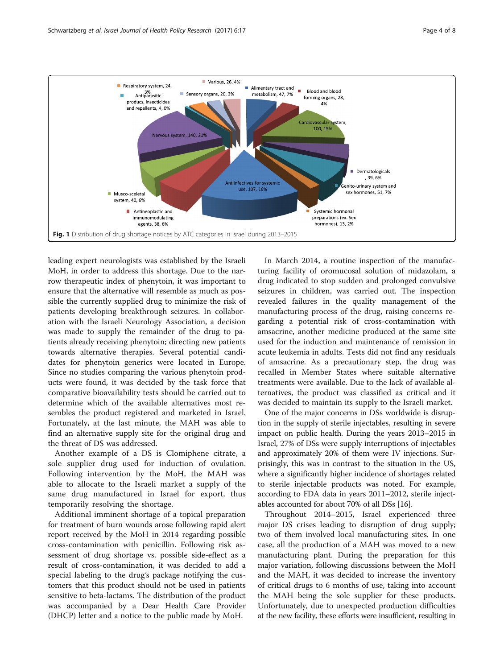<span id="page-3-0"></span>

leading expert neurologists was established by the Israeli MoH, in order to address this shortage. Due to the narrow therapeutic index of phenytoin, it was important to ensure that the alternative will resemble as much as possible the currently supplied drug to minimize the risk of patients developing breakthrough seizures. In collaboration with the Israeli Neurology Association, a decision was made to supply the remainder of the drug to patients already receiving phenytoin; directing new patients towards alternative therapies. Several potential candidates for phenytoin generics were located in Europe. Since no studies comparing the various phenytoin products were found, it was decided by the task force that comparative bioavailability tests should be carried out to determine which of the available alternatives most resembles the product registered and marketed in Israel. Fortunately, at the last minute, the MAH was able to find an alternative supply site for the original drug and the threat of DS was addressed.

Another example of a DS is Clomiphene citrate, a sole supplier drug used for induction of ovulation. Following intervention by the MoH, the MAH was able to allocate to the Israeli market a supply of the same drug manufactured in Israel for export, thus temporarily resolving the shortage.

Additional imminent shortage of a topical preparation for treatment of burn wounds arose following rapid alert report received by the MoH in 2014 regarding possible cross-contamination with penicillin. Following risk assessment of drug shortage vs. possible side-effect as a result of cross-contamination, it was decided to add a special labeling to the drug's package notifying the customers that this product should not be used in patients sensitive to beta-lactams. The distribution of the product was accompanied by a Dear Health Care Provider (DHCP) letter and a notice to the public made by MoH.

In March 2014, a routine inspection of the manufacturing facility of oromucosal solution of midazolam, a drug indicated to stop sudden and prolonged convulsive seizures in children, was carried out. The inspection revealed failures in the quality management of the manufacturing process of the drug, raising concerns regarding a potential risk of cross-contamination with amsacrine, another medicine produced at the same site used for the induction and maintenance of remission in acute leukemia in adults. Tests did not find any residuals of amsacrine. As a precautionary step, the drug was recalled in Member States where suitable alternative treatments were available. Due to the lack of available alternatives, the product was classified as critical and it was decided to maintain its supply to the Israeli market.

One of the major concerns in DSs worldwide is disruption in the supply of sterile injectables, resulting in severe impact on public health. During the years 2013–2015 in Israel, 27% of DSs were supply interruptions of injectables and approximately 20% of them were IV injections. Surprisingly, this was in contrast to the situation in the US, where a significantly higher incidence of shortages related to sterile injectable products was noted. For example, according to FDA data in years 2011–2012, sterile injectables accounted for about 70% of all DSs [[16\]](#page-7-0).

Throughout 2014–2015, Israel experienced three major DS crises leading to disruption of drug supply; two of them involved local manufacturing sites. In one case, all the production of a MAH was moved to a new manufacturing plant. During the preparation for this major variation, following discussions between the MoH and the MAH, it was decided to increase the inventory of critical drugs to 6 months of use, taking into account the MAH being the sole supplier for these products. Unfortunately, due to unexpected production difficulties at the new facility, these efforts were insufficient, resulting in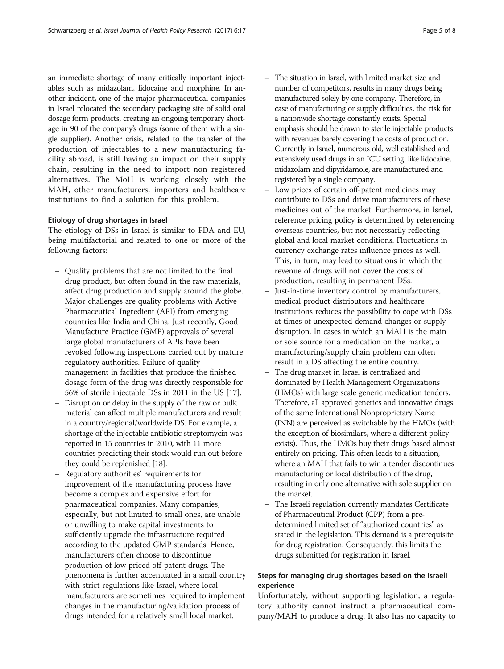an immediate shortage of many critically important injectables such as midazolam, lidocaine and morphine. In another incident, one of the major pharmaceutical companies in Israel relocated the secondary packaging site of solid oral dosage form products, creating an ongoing temporary shortage in 90 of the company's drugs (some of them with a single supplier). Another crisis, related to the transfer of the production of injectables to a new manufacturing facility abroad, is still having an impact on their supply chain, resulting in the need to import non registered alternatives. The MoH is working closely with the MAH, other manufacturers, importers and healthcare institutions to find a solution for this problem.

## Etiology of drug shortages in Israel

The etiology of DSs in Israel is similar to FDA and EU, being multifactorial and related to one or more of the following factors:

- Quality problems that are not limited to the final drug product, but often found in the raw materials, affect drug production and supply around the globe. Major challenges are quality problems with Active Pharmaceutical Ingredient (API) from emerging countries like India and China. Just recently, Good Manufacture Practice (GMP) approvals of several large global manufacturers of APIs have been revoked following inspections carried out by mature regulatory authorities. Failure of quality management in facilities that produce the finished dosage form of the drug was directly responsible for 56% of sterile injectable DSs in 2011 in the US [[17](#page-7-0)].
- Disruption or delay in the supply of the raw or bulk material can affect multiple manufacturers and result in a country/regional/worldwide DS. For example, a shortage of the injectable antibiotic streptomycin was reported in 15 countries in 2010, with 11 more countries predicting their stock would run out before they could be replenished [\[18](#page-7-0)].
- Regulatory authorities' requirements for improvement of the manufacturing process have become a complex and expensive effort for pharmaceutical companies. Many companies, especially, but not limited to small ones, are unable or unwilling to make capital investments to sufficiently upgrade the infrastructure required according to the updated GMP standards. Hence, manufacturers often choose to discontinue production of low priced off-patent drugs. The phenomena is further accentuated in a small country with strict regulations like Israel, where local manufacturers are sometimes required to implement changes in the manufacturing/validation process of drugs intended for a relatively small local market.
- The situation in Israel, with limited market size and number of competitors, results in many drugs being manufactured solely by one company. Therefore, in case of manufacturing or supply difficulties, the risk for a nationwide shortage constantly exists. Special emphasis should be drawn to sterile injectable products with revenues barely covering the costs of production. Currently in Israel, numerous old, well established and extensively used drugs in an ICU setting, like lidocaine, midazolam and dipyridamole, are manufactured and registered by a single company.
- Low prices of certain off-patent medicines may contribute to DSs and drive manufacturers of these medicines out of the market. Furthermore, in Israel, reference pricing policy is determined by referencing overseas countries, but not necessarily reflecting global and local market conditions. Fluctuations in currency exchange rates influence prices as well. This, in turn, may lead to situations in which the revenue of drugs will not cover the costs of production, resulting in permanent DSs.
- Just-in-time inventory control by manufacturers, medical product distributors and healthcare institutions reduces the possibility to cope with DSs at times of unexpected demand changes or supply disruption. In cases in which an MAH is the main or sole source for a medication on the market, a manufacturing/supply chain problem can often result in a DS affecting the entire country.
- The drug market in Israel is centralized and dominated by Health Management Organizations (HMOs) with large scale generic medication tenders. Therefore, all approved generics and innovative drugs of the same International Nonproprietary Name (INN) are perceived as switchable by the HMOs (with the exception of biosimilars, where a different policy exists). Thus, the HMOs buy their drugs based almost entirely on pricing. This often leads to a situation, where an MAH that fails to win a tender discontinues manufacturing or local distribution of the drug, resulting in only one alternative with sole supplier on the market.
- The Israeli regulation currently mandates Certificate of Pharmaceutical Product (CPP) from a predetermined limited set of "authorized countries" as stated in the legislation. This demand is a prerequisite for drug registration. Consequently, this limits the drugs submitted for registration in Israel.

## Steps for managing drug shortages based on the Israeli experience

Unfortunately, without supporting legislation, a regulatory authority cannot instruct a pharmaceutical company/MAH to produce a drug. It also has no capacity to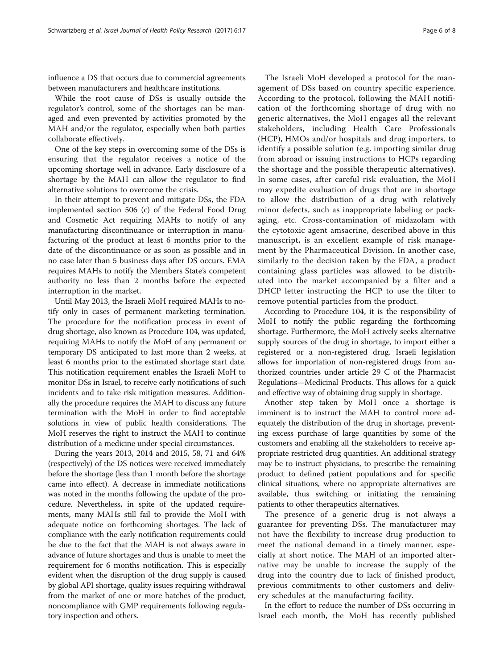influence a DS that occurs due to commercial agreements between manufacturers and healthcare institutions.

While the root cause of DSs is usually outside the regulator's control, some of the shortages can be managed and even prevented by activities promoted by the MAH and/or the regulator, especially when both parties collaborate effectively.

One of the key steps in overcoming some of the DSs is ensuring that the regulator receives a notice of the upcoming shortage well in advance. Early disclosure of a shortage by the MAH can allow the regulator to find alternative solutions to overcome the crisis.

In their attempt to prevent and mitigate DSs, the FDA implemented section 506 (c) of the Federal Food Drug and Cosmetic Act requiring MAHs to notify of any manufacturing discontinuance or interruption in manufacturing of the product at least 6 months prior to the date of the discontinuance or as soon as possible and in no case later than 5 business days after DS occurs. EMA requires MAHs to notify the Members State's competent authority no less than 2 months before the expected interruption in the market.

Until May 2013, the Israeli MoH required MAHs to notify only in cases of permanent marketing termination. The procedure for the notification process in event of drug shortage, also known as Procedure 104, was updated, requiring MAHs to notify the MoH of any permanent or temporary DS anticipated to last more than 2 weeks, at least 6 months prior to the estimated shortage start date. This notification requirement enables the Israeli MoH to monitor DSs in Israel, to receive early notifications of such incidents and to take risk mitigation measures. Additionally the procedure requires the MAH to discuss any future termination with the MoH in order to find acceptable solutions in view of public health considerations. The MoH reserves the right to instruct the MAH to continue distribution of a medicine under special circumstances.

During the years 2013, 2014 and 2015, 58, 71 and 64% (respectively) of the DS notices were received immediately before the shortage (less than 1 month before the shortage came into effect). A decrease in immediate notifications was noted in the months following the update of the procedure. Nevertheless, in spite of the updated requirements, many MAHs still fail to provide the MoH with adequate notice on forthcoming shortages. The lack of compliance with the early notification requirements could be due to the fact that the MAH is not always aware in advance of future shortages and thus is unable to meet the requirement for 6 months notification. This is especially evident when the disruption of the drug supply is caused by global API shortage, quality issues requiring withdrawal from the market of one or more batches of the product, noncompliance with GMP requirements following regulatory inspection and others.

The Israeli MoH developed a protocol for the management of DSs based on country specific experience. According to the protocol, following the MAH notification of the forthcoming shortage of drug with no generic alternatives, the MoH engages all the relevant stakeholders, including Health Care Professionals (HCP), HMOs and/or hospitals and drug importers, to identify a possible solution (e.g. importing similar drug from abroad or issuing instructions to HCPs regarding the shortage and the possible therapeutic alternatives). In some cases, after careful risk evaluation, the MoH may expedite evaluation of drugs that are in shortage to allow the distribution of a drug with relatively minor defects, such as inappropriate labeling or packaging, etc. Cross-contamination of midazolam with the cytotoxic agent amsacrine, described above in this manuscript, is an excellent example of risk management by the Pharmaceutical Division. In another case, similarly to the decision taken by the FDA, a product containing glass particles was allowed to be distributed into the market accompanied by a filter and a DHCP letter instructing the HCP to use the filter to remove potential particles from the product.

According to Procedure 104, it is the responsibility of MoH to notify the public regarding the forthcoming shortage. Furthermore, the MoH actively seeks alternative supply sources of the drug in shortage, to import either a registered or a non-registered drug. Israeli legislation allows for importation of non-registered drugs from authorized countries under article 29 C of the Pharmacist Regulations—Medicinal Products. This allows for a quick and effective way of obtaining drug supply in shortage.

Another step taken by MoH once a shortage is imminent is to instruct the MAH to control more adequately the distribution of the drug in shortage, preventing excess purchase of large quantities by some of the customers and enabling all the stakeholders to receive appropriate restricted drug quantities. An additional strategy may be to instruct physicians, to prescribe the remaining product to defined patient populations and for specific clinical situations, where no appropriate alternatives are available, thus switching or initiating the remaining patients to other therapeutics alternatives.

The presence of a generic drug is not always a guarantee for preventing DSs. The manufacturer may not have the flexibility to increase drug production to meet the national demand in a timely manner, especially at short notice. The MAH of an imported alternative may be unable to increase the supply of the drug into the country due to lack of finished product, previous commitments to other customers and delivery schedules at the manufacturing facility.

In the effort to reduce the number of DSs occurring in Israel each month, the MoH has recently published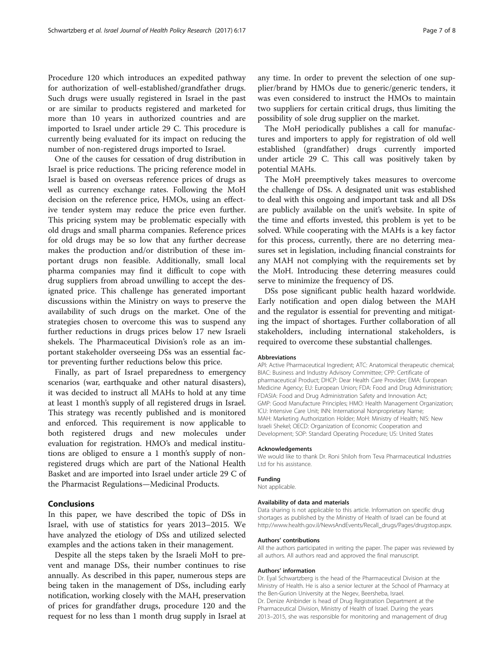Procedure 120 which introduces an expedited pathway for authorization of well-established/grandfather drugs. Such drugs were usually registered in Israel in the past or are similar to products registered and marketed for more than 10 years in authorized countries and are imported to Israel under article 29 C. This procedure is currently being evaluated for its impact on reducing the number of non-registered drugs imported to Israel.

One of the causes for cessation of drug distribution in Israel is price reductions. The pricing reference model in Israel is based on overseas reference prices of drugs as well as currency exchange rates. Following the MoH decision on the reference price, HMOs, using an effective tender system may reduce the price even further. This pricing system may be problematic especially with old drugs and small pharma companies. Reference prices for old drugs may be so low that any further decrease makes the production and/or distribution of these important drugs non feasible. Additionally, small local pharma companies may find it difficult to cope with drug suppliers from abroad unwilling to accept the designated price. This challenge has generated important discussions within the Ministry on ways to preserve the availability of such drugs on the market. One of the strategies chosen to overcome this was to suspend any further reductions in drugs prices below 17 new Israeli shekels. The Pharmaceutical Division's role as an important stakeholder overseeing DSs was an essential factor preventing further reductions below this price.

Finally, as part of Israel preparedness to emergency scenarios (war, earthquake and other natural disasters), it was decided to instruct all MAHs to hold at any time at least 1 month's supply of all registered drugs in Israel. This strategy was recently published and is monitored and enforced. This requirement is now applicable to both registered drugs and new molecules under evaluation for registration. HMO's and medical institutions are obliged to ensure a 1 month's supply of nonregistered drugs which are part of the National Health Basket and are imported into Israel under article 29 C of the Pharmacist Regulations—Medicinal Products.

## Conclusions

In this paper, we have described the topic of DSs in Israel, with use of statistics for years 2013–2015. We have analyzed the etiology of DSs and utilized selected examples and the actions taken in their management.

Despite all the steps taken by the Israeli MoH to prevent and manage DSs, their number continues to rise annually. As described in this paper, numerous steps are being taken in the management of DSs, including early notification, working closely with the MAH, preservation of prices for grandfather drugs, procedure 120 and the request for no less than 1 month drug supply in Israel at any time. In order to prevent the selection of one supplier/brand by HMOs due to generic/generic tenders, it was even considered to instruct the HMOs to maintain two suppliers for certain critical drugs, thus limiting the possibility of sole drug supplier on the market.

The MoH periodically publishes a call for manufactures and importers to apply for registration of old well established (grandfather) drugs currently imported under article 29 C. This call was positively taken by potential MAHs.

The MoH preemptively takes measures to overcome the challenge of DSs. A designated unit was established to deal with this ongoing and important task and all DSs are publicly available on the unit's website. In spite of the time and efforts invested, this problem is yet to be solved. While cooperating with the MAHs is a key factor for this process, currently, there are no deterring measures set in legislation, including financial constraints for any MAH not complying with the requirements set by the MoH. Introducing these deterring measures could serve to minimize the frequency of DS.

DSs pose significant public health hazard worldwide. Early notification and open dialog between the MAH and the regulator is essential for preventing and mitigating the impact of shortages. Further collaboration of all stakeholders, including international stakeholders, is required to overcome these substantial challenges.

#### Abbreviations

API: Active Pharmaceutical Ingredient; ATC: Anatomical therapeutic chemical; BIAC: Business and Industry Advisory Committee; CPP: Certificate of pharmaceutical Product; DHCP: Dear Health Care Provider; EMA: European Medicine Agency; EU: European Union; FDA: Food and Drug Administration; FDASIA: Food and Drug Administration Safety and Innovation Act; GMP: Good Manufacture Principles; HMO: Health Management Organization; ICU: Intensive Care Unit; INN: International Nonproprietary Name; MAH: Marketing Authorization Holder; MoH: Ministry of Health; NIS: New Israeli Shekel; OECD: Organization of Economic Cooperation and Development; SOP: Standard Operating Procedure; US: United States

#### Acknowledgements

We would like to thank Dr. Roni Shiloh from Teva Pharmaceutical Industries Ltd for his assistance.

#### Funding

Not applicable.

#### Availability of data and materials

Data sharing is not applicable to this article. Information on specific drug shortages as published by the Ministry of Health of Israel can be found at [http://www.health.gov.il/NewsAndEvents/Recall\\_drugs/Pages/drugstop.aspx.](http://www.health.gov.il/NewsAndEvents/Recall_drugs/Pages/drugstop.aspx)

#### Authors' contributions

All the authors participated in writing the paper. The paper was reviewed by all authors. All authors read and approved the final manuscript.

#### Authors' information

Dr. Eyal Schwartzberg is the head of the Pharmaceutical Division at the Ministry of Health. He is also a senior lecturer at the School of Pharmacy at the Ben-Gurion University at the Negev, Beersheba, Israel. Dr. Denize Ainbinder is head of Drug Registration Department at the Pharmaceutical Division, Ministry of Health of Israel. During the years 2013–2015, she was responsible for monitoring and management of drug